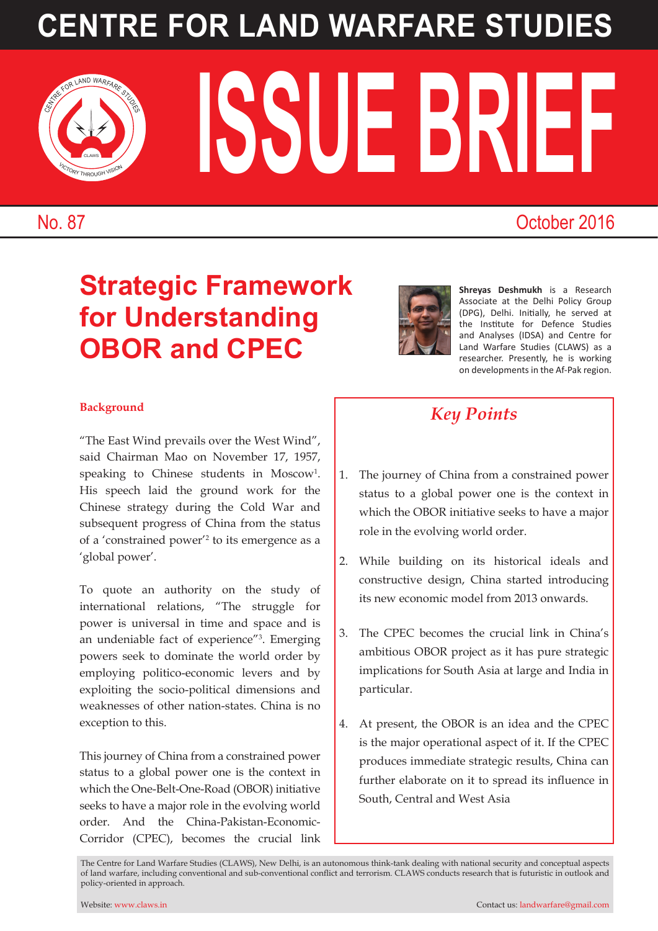# **CENTRE FOR LAND WARFARE STUDIES**

ISSUE BRIEF CENTRE FOR LAND WARFARE



VICTORY THROUGH VISION CLAWS

### No. 87 October 2016

### **Strategic Framework for Understanding OBOR and CPEC**



**Shreyas Deshmukh** is a Research Associate at the Delhi Policy Group (DPG), Delhi. Initially, he served at the Institute for Defence Studies and Analyses (IDSA) and Centre for Land Warfare Studies (CLAWS) as a researcher. Presently, he is working on developments in the Af-Pak region.

#### **Background**

"The East Wind prevails over the West Wind", said Chairman Mao on November 17, 1957, speaking to Chinese students in Moscow<sup>1</sup>. His speech laid the ground work for the Chinese strategy during the Cold War and subsequent progress of China from the status of a 'constrained power'2 to its emergence as a 'global power'.

To quote an authority on the study of international relations, "The struggle for power is universal in time and space and is an undeniable fact of experience"3 . Emerging powers seek to dominate the world order by employing politico-economic levers and by exploiting the socio-political dimensions and weaknesses of other nation-states. China is no exception to this.

This journey of China from a constrained power status to a global power one is the context in which the One-Belt-One-Road (OBOR) initiative seeks to have a major role in the evolving world order. And the China-Pakistan-Economic-Corridor (CPEC), becomes the crucial link

### *Key Points*

- 1. The journey of China from a constrained power status to a global power one is the context in which the OBOR initiative seeks to have a major role in the evolving world order.
- 2. While building on its historical ideals and constructive design, China started introducing its new economic model from 2013 onwards.
- 3. The CPEC becomes the crucial link in China's ambitious OBOR project as it has pure strategic implications for South Asia at large and India in particular.
- 4. At present, the OBOR is an idea and the CPEC is the major operational aspect of it. If the CPEC produces immediate strategic results, China can further elaborate on it to spread its influence in South, Central and West Asia

The Centre for Land Warfare Studies (CLAWS), New Delhi, is an autonomous think-tank dealing with national security and conceptual aspects of land warfare, including conventional and sub-conventional conflict and terrorism. CLAWS conducts research that is futuristic in outlook and policy-oriented in approach.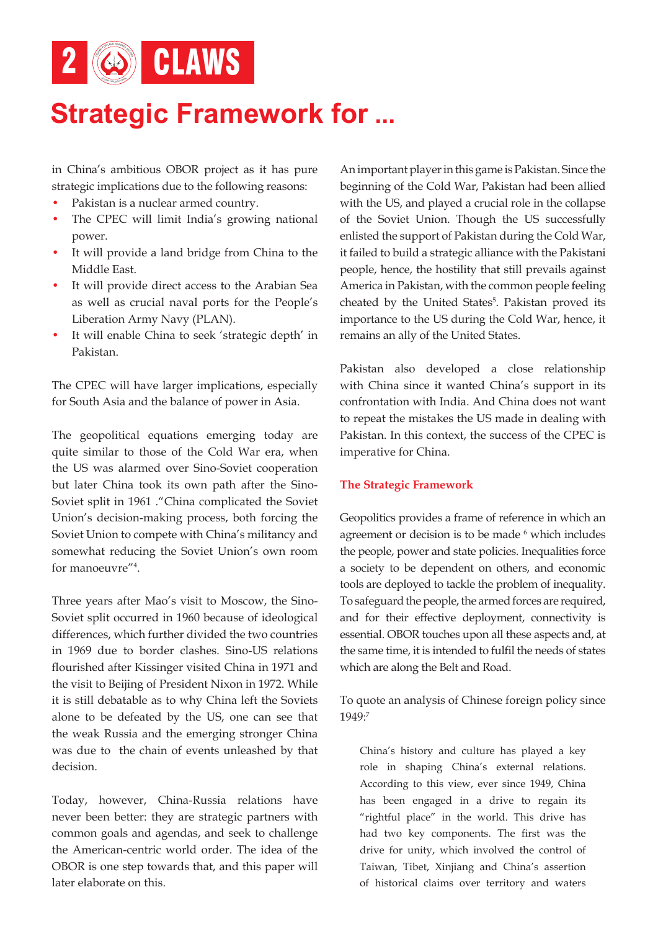

## **Strategic Framework for ...**

in China's ambitious OBOR project as it has pure strategic implications due to the following reasons:

- Pakistan is a nuclear armed country.
- The CPEC will limit India's growing national power.
- It will provide a land bridge from China to the Middle East.
- It will provide direct access to the Arabian Sea as well as crucial naval ports for the People's Liberation Army Navy (PLAN).
- It will enable China to seek 'strategic depth' in Pakistan.

The CPEC will have larger implications, especially for South Asia and the balance of power in Asia.

The geopolitical equations emerging today are quite similar to those of the Cold War era, when the US was alarmed over Sino-Soviet cooperation but later China took its own path after the Sino-Soviet split in 1961 ."China complicated the Soviet Union's decision-making process, both forcing the Soviet Union to compete with China's militancy and somewhat reducing the Soviet Union's own room for manoeuvre"4 .

Three years after Mao's visit to Moscow, the Sino-Soviet split occurred in 1960 because of ideological differences, which further divided the two countries in 1969 due to border clashes. Sino-US relations flourished after Kissinger visited China in 1971 and the visit to Beijing of President Nixon in 1972. While it is still debatable as to why China left the Soviets alone to be defeated by the US, one can see that the weak Russia and the emerging stronger China was due to the chain of events unleashed by that decision.

Today, however, China-Russia relations have never been better: they are strategic partners with common goals and agendas, and seek to challenge the American-centric world order. The idea of the OBOR is one step towards that, and this paper will later elaborate on this.

An important player in this game is Pakistan. Since the beginning of the Cold War, Pakistan had been allied with the US, and played a crucial role in the collapse of the Soviet Union. Though the US successfully enlisted the support of Pakistan during the Cold War, it failed to build a strategic alliance with the Pakistani people, hence, the hostility that still prevails against America in Pakistan, with the common people feeling cheated by the United States<sup>5</sup>. Pakistan proved its importance to the US during the Cold War, hence, it remains an ally of the United States.

Pakistan also developed a close relationship with China since it wanted China's support in its confrontation with India. And China does not want to repeat the mistakes the US made in dealing with Pakistan. In this context, the success of the CPEC is imperative for China.

#### **The Strategic Framework**

Geopolitics provides a frame of reference in which an agreement or decision is to be made  $6$  which includes the people, power and state policies. Inequalities force a society to be dependent on others, and economic tools are deployed to tackle the problem of inequality. To safeguard the people, the armed forces are required, and for their effective deployment, connectivity is essential. OBOR touches upon all these aspects and, at the same time, it is intended to fulfil the needs of states which are along the Belt and Road.

To quote an analysis of Chinese foreign policy since 1949:7

China's history and culture has played a key role in shaping China's external relations. According to this view, ever since 1949, China has been engaged in a drive to regain its "rightful place" in the world. This drive has had two key components. The first was the drive for unity, which involved the control of Taiwan, Tibet, Xinjiang and China's assertion of historical claims over territory and waters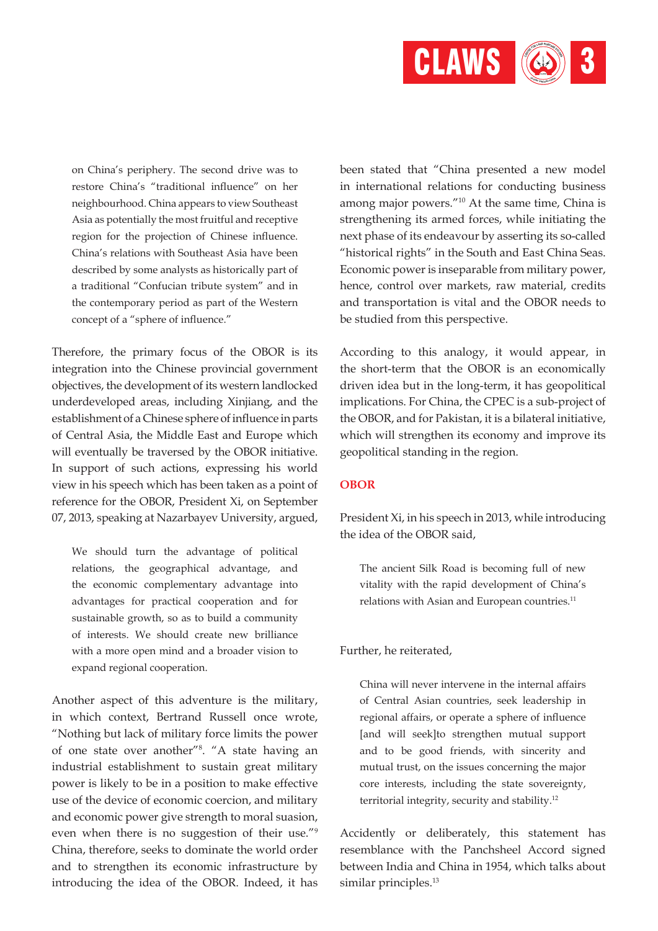

on China's periphery. The second drive was to restore China's "traditional influence" on her neighbourhood. China appears to view Southeast Asia as potentially the most fruitful and receptive region for the projection of Chinese influence. China's relations with Southeast Asia have been described by some analysts as historically part of a traditional "Confucian tribute system" and in the contemporary period as part of the Western concept of a "sphere of influence."

Therefore, the primary focus of the OBOR is its integration into the Chinese provincial government objectives, the development of its western landlocked underdeveloped areas, including Xinjiang, and the establishment of a Chinese sphere of influence in parts of Central Asia, the Middle East and Europe which will eventually be traversed by the OBOR initiative. In support of such actions, expressing his world view in his speech which has been taken as a point of reference for the OBOR, President Xi, on September 07, 2013, speaking at Nazarbayev University, argued,

We should turn the advantage of political relations, the geographical advantage, and the economic complementary advantage into advantages for practical cooperation and for sustainable growth, so as to build a community of interests. We should create new brilliance with a more open mind and a broader vision to expand regional cooperation.

Another aspect of this adventure is the military, in which context, Bertrand Russell once wrote, "Nothing but lack of military force limits the power of one state over another"8 . "A state having an industrial establishment to sustain great military power is likely to be in a position to make effective use of the device of economic coercion, and military and economic power give strength to moral suasion, even when there is no suggestion of their use."9 China, therefore, seeks to dominate the world order and to strengthen its economic infrastructure by introducing the idea of the OBOR. Indeed, it has

been stated that "China presented a new model in international relations for conducting business among major powers."10 At the same time, China is strengthening its armed forces, while initiating the next phase of its endeavour by asserting its so-called "historical rights" in the South and East China Seas. Economic power is inseparable from military power, hence, control over markets, raw material, credits and transportation is vital and the OBOR needs to be studied from this perspective.

According to this analogy, it would appear, in the short-term that the OBOR is an economically driven idea but in the long-term, it has geopolitical implications. For China, the CPEC is a sub-project of the OBOR, and for Pakistan, it is a bilateral initiative, which will strengthen its economy and improve its geopolitical standing in the region.

#### **OBOR**

President Xi, in his speech in 2013, while introducing the idea of the OBOR said,

The ancient Silk Road is becoming full of new vitality with the rapid development of China's relations with Asian and European countries.<sup>11</sup>

#### Further, he reiterated,

China will never intervene in the internal affairs of Central Asian countries, seek leadership in regional affairs, or operate a sphere of influence [and will seek]to strengthen mutual support and to be good friends, with sincerity and mutual trust, on the issues concerning the major core interests, including the state sovereignty, territorial integrity, security and stability.12

Accidently or deliberately, this statement has resemblance with the Panchsheel Accord signed between India and China in 1954, which talks about similar principles.<sup>13</sup>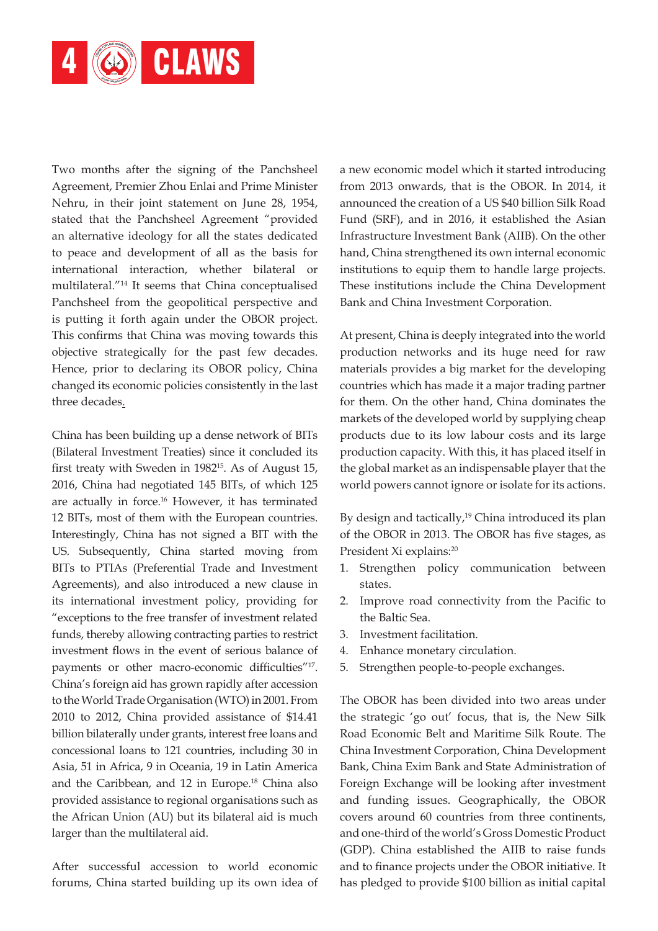

Two months after the signing of the Panchsheel Agreement, Premier Zhou Enlai and Prime Minister Nehru, in their joint statement on June 28, 1954, stated that the Panchsheel Agreement "provided an alternative ideology for all the states dedicated to peace and development of all as the basis for international interaction, whether bilateral or multilateral."14 It seems that China conceptualised Panchsheel from the geopolitical perspective and is putting it forth again under the OBOR project. This confirms that China was moving towards this objective strategically for the past few decades. Hence, prior to declaring its OBOR policy, China changed its economic policies consistently in the last three decades.

China has been building up a dense network of BITs (Bilateral Investment Treaties) since it concluded its first treaty with Sweden in 1982<sup>15</sup>. As of August 15, 2016, China had negotiated 145 BITs, of which 125 are actually in force.<sup>16</sup> However, it has terminated 12 BITs, most of them with the European countries. Interestingly, China has not signed a BIT with the US. Subsequently, China started moving from BITs to PTIAs (Preferential Trade and Investment Agreements), and also introduced a new clause in its international investment policy, providing for "exceptions to the free transfer of investment related funds, thereby allowing contracting parties to restrict investment flows in the event of serious balance of payments or other macro-economic difficulties"17. China's foreign aid has grown rapidly after accession to the World Trade Organisation (WTO) in 2001. From 2010 to 2012, China provided assistance of \$14.41 billion bilaterally under grants, interest free loans and concessional loans to 121 countries, including 30 in Asia, 51 in Africa, 9 in Oceania, 19 in Latin America and the Caribbean, and 12 in Europe.18 China also provided assistance to regional organisations such as the African Union (AU) but its bilateral aid is much larger than the multilateral aid.

After successful accession to world economic forums, China started building up its own idea of a new economic model which it started introducing from 2013 onwards, that is the OBOR. In 2014, it announced the creation of a US \$40 billion Silk Road Fund (SRF), and in 2016, it established the Asian Infrastructure Investment Bank (AIIB). On the other hand, China strengthened its own internal economic institutions to equip them to handle large projects. These institutions include the China Development Bank and China Investment Corporation.

At present, China is deeply integrated into the world production networks and its huge need for raw materials provides a big market for the developing countries which has made it a major trading partner for them. On the other hand, China dominates the markets of the developed world by supplying cheap products due to its low labour costs and its large production capacity. With this, it has placed itself in the global market as an indispensable player that the world powers cannot ignore or isolate for its actions.

By design and tactically, $19$  China introduced its plan of the OBOR in 2013. The OBOR has five stages, as President Xi explains:<sup>20</sup>

- 1. Strengthen policy communication between states.
- 2. Improve road connectivity from the Pacific to the Baltic Sea.
- 3. Investment facilitation.
- 4. Enhance monetary circulation.
- 5. Strengthen people-to-people exchanges.

The OBOR has been divided into two areas under the strategic 'go out' focus, that is, the New Silk Road Economic Belt and Maritime Silk Route. The China Investment Corporation, China Development Bank, China Exim Bank and State Administration of Foreign Exchange will be looking after investment and funding issues. Geographically, the OBOR covers around 60 countries from three continents, and one-third of the world's Gross Domestic Product (GDP). China established the AIIB to raise funds and to finance projects under the OBOR initiative. It has pledged to provide \$100 billion as initial capital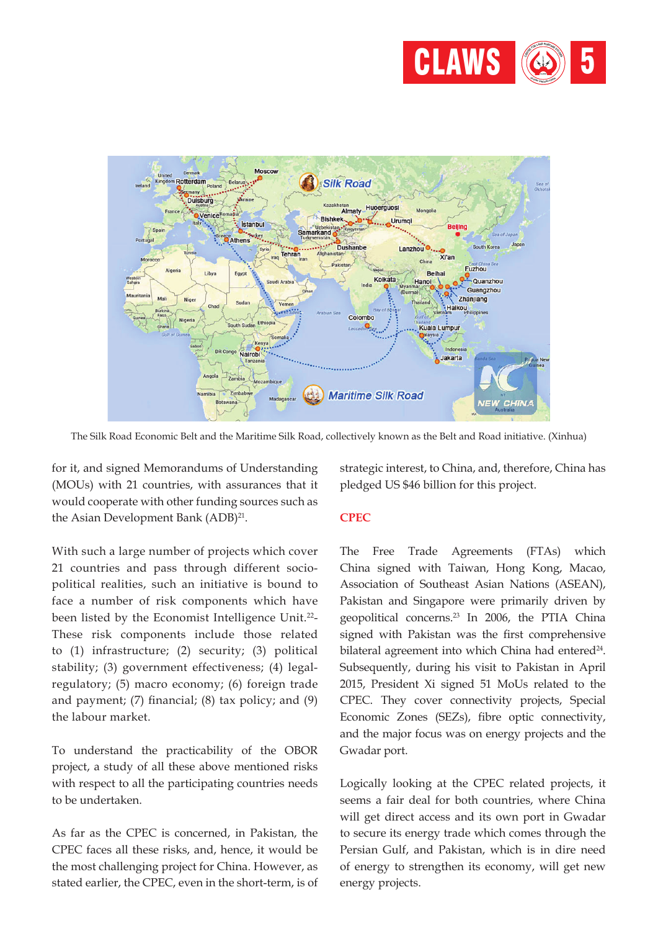



The Silk Road Economic Belt and the Maritime Silk Road, collectively known as the Belt and Road initiative. (Xinhua)

for it, and signed Memorandums of Understanding (MOUs) with 21 countries, with assurances that it would cooperate with other funding sources such as the Asian Development Bank (ADB)<sup>21</sup>.

With such a large number of projects which cover 21 countries and pass through different sociopolitical realities, such an initiative is bound to face a number of risk components which have been listed by the Economist Intelligence Unit.<sup>22</sup>-These risk components include those related to (1) infrastructure; (2) security; (3) political stability; (3) government effectiveness; (4) legalregulatory; (5) macro economy; (6) foreign trade and payment; (7) financial; (8) tax policy; and (9) the labour market.

To understand the practicability of the OBOR project, a study of all these above mentioned risks with respect to all the participating countries needs to be undertaken.

As far as the CPEC is concerned, in Pakistan, the CPEC faces all these risks, and, hence, it would be the most challenging project for China. However, as stated earlier, the CPEC, even in the short-term, is of strategic interest, to China, and, therefore, China has pledged US \$46 billion for this project.

#### **CPEC**

The Free Trade Agreements (FTAs) which China signed with Taiwan, Hong Kong, Macao, Association of Southeast Asian Nations (ASEAN), Pakistan and Singapore were primarily driven by geopolitical concerns.23 In 2006, the PTIA China signed with Pakistan was the first comprehensive bilateral agreement into which China had entered<sup>24</sup>. Subsequently, during his visit to Pakistan in April 2015, President Xi signed 51 MoUs related to the CPEC. They cover connectivity projects, Special Economic Zones (SEZs), fibre optic connectivity, and the major focus was on energy projects and the Gwadar port.

Logically looking at the CPEC related projects, it seems a fair deal for both countries, where China will get direct access and its own port in Gwadar to secure its energy trade which comes through the Persian Gulf, and Pakistan, which is in dire need of energy to strengthen its economy, will get new energy projects.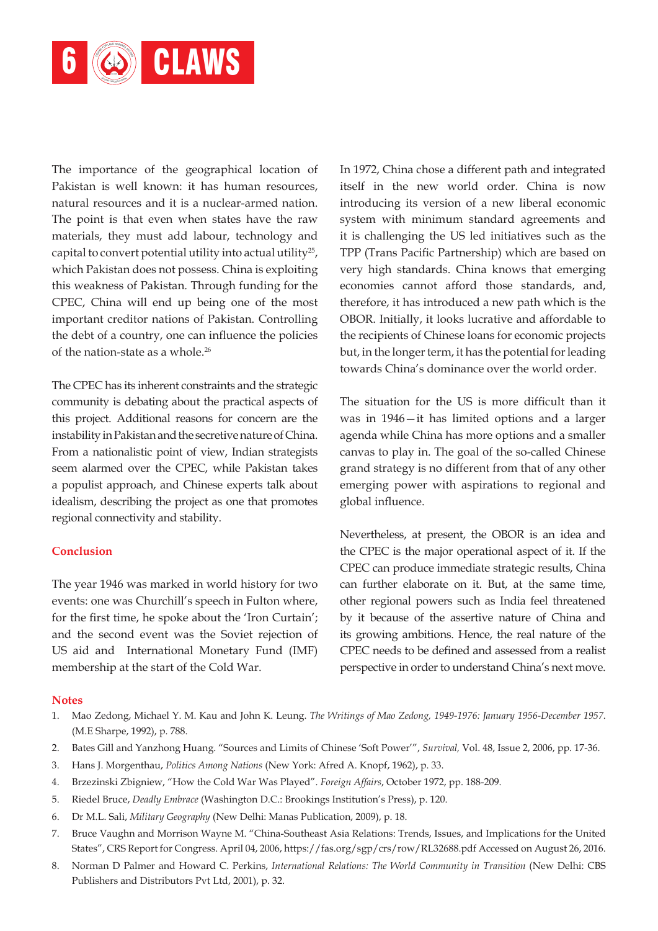

The importance of the geographical location of Pakistan is well known: it has human resources, natural resources and it is a nuclear-armed nation. The point is that even when states have the raw materials, they must add labour, technology and capital to convert potential utility into actual utility<sup>25</sup>, which Pakistan does not possess. China is exploiting this weakness of Pakistan. Through funding for the CPEC, China will end up being one of the most important creditor nations of Pakistan. Controlling the debt of a country, one can influence the policies of the nation-state as a whole.<sup>26</sup>

The CPEC has its inherent constraints and the strategic community is debating about the practical aspects of this project. Additional reasons for concern are the instability in Pakistan and the secretive nature of China. From a nationalistic point of view, Indian strategists seem alarmed over the CPEC, while Pakistan takes a populist approach, and Chinese experts talk about idealism, describing the project as one that promotes regional connectivity and stability.

#### **Conclusion**

The year 1946 was marked in world history for two events: one was Churchill's speech in Fulton where, for the first time, he spoke about the 'Iron Curtain'; and the second event was the Soviet rejection of US aid and International Monetary Fund (IMF) membership at the start of the Cold War.

In 1972, China chose a different path and integrated itself in the new world order. China is now introducing its version of a new liberal economic system with minimum standard agreements and it is challenging the US led initiatives such as the TPP (Trans Pacific Partnership) which are based on very high standards. China knows that emerging economies cannot afford those standards, and, therefore, it has introduced a new path which is the OBOR. Initially, it looks lucrative and affordable to the recipients of Chinese loans for economic projects but, in the longer term, it has the potential for leading towards China's dominance over the world order.

The situation for the US is more difficult than it was in 1946—it has limited options and a larger agenda while China has more options and a smaller canvas to play in. The goal of the so-called Chinese grand strategy is no different from that of any other emerging power with aspirations to regional and global influence.

Nevertheless, at present, the OBOR is an idea and the CPEC is the major operational aspect of it. If the CPEC can produce immediate strategic results, China can further elaborate on it. But, at the same time, other regional powers such as India feel threatened by it because of the assertive nature of China and its growing ambitions. Hence, the real nature of the CPEC needs to be defined and assessed from a realist perspective in order to understand China's next move.

#### **Notes**

- 1. Mao Zedong, Michael Y. M. Kau and John K. Leung. *The Writings of Mao Zedong, 1949-1976: January 1956-December 1957*. (M.E Sharpe, 1992), p. 788.
- 2. Bates Gill and Yanzhong Huang. "Sources and Limits of Chinese 'Soft Power'", *Survival,* Vol. 48, Issue 2, 2006, pp. 17-36.
- 3. Hans J. Morgenthau, *Politics Among Nations* (New York: Afred A. Knopf, 1962), p. 33.
- 4. Brzezinski Zbigniew, "How the Cold War Was Played". *Foreign Affairs*, October 1972, pp. 188-209.
- 5. Riedel Bruce, *Deadly Embrace* (Washington D.C.: Brookings Institution's Press), p. 120.
- 6. Dr M.L. Sali, *Military Geography* (New Delhi: Manas Publication, 2009), p. 18.
- 7. Bruce Vaughn and Morrison Wayne M. "China-Southeast Asia Relations: Trends, Issues, and Implications for the United States", CRS Report for Congress. April 04, 2006, https://fas.org/sgp/crs/row/RL32688.pdf Accessed on August 26, 2016.
- 8. Norman D Palmer and Howard C. Perkins, *International Relations: The World Community in Transition* (New Delhi: CBS Publishers and Distributors Pvt Ltd, 2001), p. 32.